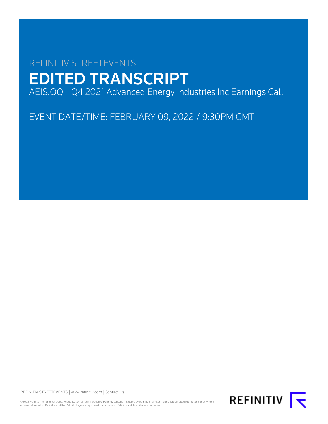# REFINITIV STREETEVENTS EDITED TRANSCRIPT AEIS.OQ - Q4 2021 Advanced Energy Industries Inc Earnings Call

EVENT DATE/TIME: FEBRUARY 09, 2022 / 9:30PM GMT

REFINITIV STREETEVENTS | [www.refinitiv.com](https://www.refinitiv.com/) | [Contact Us](https://www.refinitiv.com/en/contact-us)

©2022 Refinitiv. All rights reserved. Republication or redistribution of Refinitiv content, including by framing or similar means, is prohibited without the prior written<br>consent of Refinitiv. 'Refinitiv' and the Refinitiv

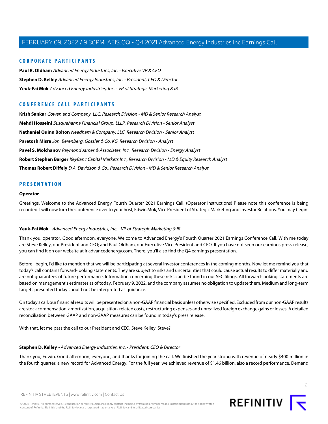#### **CORPORATE PARTICIPANTS**

**[Paul R. Oldham](#page-3-0)** Advanced Energy Industries, Inc. - Executive VP & CFO **[Stephen D. Kelley](#page-1-0)** Advanced Energy Industries, Inc. - President, CEO & Director **[Yeuk-Fai Mok](#page-1-1)** Advanced Energy Industries, Inc. - VP of Strategic Marketing & IR

## **CONFERENCE CALL PARTICIPANTS**

**[Krish Sankar](#page-6-0)** Cowen and Company, LLC, Research Division - MD & Senior Research Analyst **[Mehdi Hosseini](#page-8-0)** Susquehanna Financial Group, LLLP, Research Division - Senior Analyst **[Nathaniel Quinn Bolton](#page-5-0)** Needham & Company, LLC, Research Division - Senior Analyst **[Paretosh Misra](#page-11-0)** Joh. Berenberg, Gossler & Co. KG, Research Division - Analyst **[Pavel S. Molchanov](#page-10-0)** Raymond James & Associates, Inc., Research Division - Energy Analyst **[Robert Stephen Barger](#page-6-1)** KeyBanc Capital Markets Inc., Research Division - MD & Equity Research Analyst **[Thomas Robert Diffely](#page-9-0)** D.A. Davidson & Co., Research Division - MD & Senior Research Analyst

#### **PRESENTATION**

#### **Operator**

<span id="page-1-1"></span>Greetings. Welcome to the Advanced Energy Fourth Quarter 2021 Earnings Call. (Operator Instructions) Please note this conference is being recorded. I will now turn the conference over to your host, Edwin Mok, Vice President of Strategic Marketing and Investor Relations. You may begin.

#### **Yeuk-Fai Mok** - Advanced Energy Industries, Inc. - VP of Strategic Marketing & IR

Thank you, operator. Good afternoon, everyone. Welcome to Advanced Energy's Fourth Quarter 2021 Earnings Conference Call. With me today are Steve Kelley, our President and CEO; and Paul Oldham, our Executive Vice President and CFO. If you have not seen our earnings press release, you can find it on our website at ir.advancedenergy.com. There, you'll also find the Q4 earnings presentation.

Before I begin, I'd like to mention that we will be participating at several investor conferences in the coming months. Now let me remind you that today's call contains forward-looking statements. They are subject to risks and uncertainties that could cause actual results to differ materially and are not guarantees of future performance. Information concerning these risks can be found in our SEC filings. All forward-looking statements are based on management's estimates as of today, February 9, 2022, and the company assumes no obligation to update them. Medium and long-term targets presented today should not be interpreted as guidance.

<span id="page-1-0"></span>On today's call, our financial results will be presented on a non-GAAP financial basis unless otherwise specified. Excluded from our non-GAAP results are stock compensation, amortization, acquisition-related costs, restructuring expenses and unrealized foreign exchange gains or losses. A detailed reconciliation between GAAP and non-GAAP measures can be found in today's press release.

With that, let me pass the call to our President and CEO, Steve Kelley. Steve?

#### **Stephen D. Kelley** - Advanced Energy Industries, Inc. - President, CEO & Director

Thank you, Edwin. Good afternoon, everyone, and thanks for joining the call. We finished the year strong with revenue of nearly \$400 million in the fourth quarter, a new record for Advanced Energy. For the full year, we achieved revenue of \$1.46 billion, also a record performance. Demand

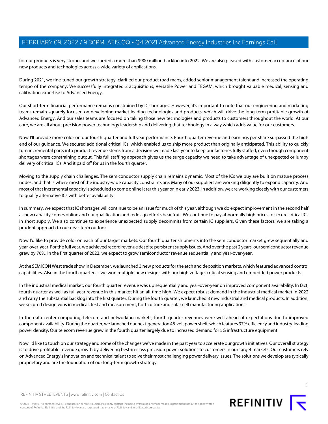for our products is very strong, and we carried a more than \$900 million backlog into 2022. We are also pleased with customer acceptance of our new products and technologies across a wide variety of applications.

During 2021, we fine-tuned our growth strategy, clarified our product road maps, added senior management talent and increased the operating tempo of the company. We successfully integrated 2 acquisitions, Versatile Power and TEGAM, which brought valuable medical, sensing and calibration expertise to Advanced Energy.

Our short-term financial performance remains constrained by IC shortages. However, it's important to note that our engineering and marketing teams remain squarely focused on developing market-leading technologies and products, which will drive the long-term profitable growth of Advanced Energy. And our sales teams are focused on taking those new technologies and products to customers throughout the world. At our core, we are all about precision power technology leadership and delivering that technology in a way which adds value for our customers.

Now I'll provide more color on our fourth quarter and full year performance. Fourth quarter revenue and earnings per share surpassed the high end of our guidance. We secured additional critical ICs, which enabled us to ship more product than originally anticipated. This ability to quickly turn incremental parts into product revenue stems from a decision we made last year to keep our factories fully staffed, even though component shortages were constraining output. This full staffing approach gives us the surge capacity we need to take advantage of unexpected or lumpy delivery of critical ICs. And it paid off for us in the fourth quarter.

Moving to the supply chain challenges. The semiconductor supply chain remains dynamic. Most of the ICs we buy are built on mature process nodes, and that is where most of the industry-wide capacity constraints are. Many of our suppliers are working diligently to expand capacity. And most of that incremental capacity is scheduled to come online later this year or in early 2023. In addition, we are working closely with our customers to qualify alternative ICs with better availability.

In summary, we expect that IC shortages will continue to be an issue for much of this year, although we do expect improvement in the second half as new capacity comes online and our qualification and redesign efforts bear fruit. We continue to pay abnormally high prices to secure critical ICs in short supply. We also continue to experience unexpected supply decommits from certain IC suppliers. Given these factors, we are taking a prudent approach to our near-term outlook.

Now I'd like to provide color on each of our target markets. Our fourth quarter shipments into the semiconductor market grew sequentially and year-over-year. For the full year, we achieved record revenue despite persistent supply issues. And over the past 2 years, our semiconductor revenue grew by 76%. In the first quarter of 2022, we expect to grow semiconductor revenue sequentially and year-over-year.

At the SEMICON West trade show in December, we launched 3 new products for the etch and deposition markets, which featured advanced control capabilities. Also in the fourth quarter, -- we won multiple new designs with our high voltage, critical sensing and embedded power products.

In the industrial medical market, our fourth quarter revenue was up sequentially and year-over-year on improved component availability. In fact, fourth quarter as well as full year revenue in this market hit an all-time high. We expect robust demand in the industrial medical market in 2022 and carry the substantial backlog into the first quarter. During the fourth quarter, we launched 3 new industrial and medical products. In addition, we secured design wins in medical, test and measurement, horticulture and solar cell manufacturing applications.

In the data center computing, telecom and networking markets, fourth quarter revenues were well ahead of expectations due to improved component availability. During the quarter, we launched our next-generation 48-volt power shelf, which features 97% efficiency and industry-leading power density. Our telecom revenue grew in the fourth quarter largely due to increased demand for 5G infrastructure equipment.

Now I'd like to touch on our strategy and some of the changes we've made in the past year to accelerate our growth initiatives. Our overall strategy is to drive profitable revenue growth by delivering best-in-class precision power solutions to customers in our target markets. Our customers rely on Advanced Energy's innovation and technical talent to solve their most challenging power delivery issues. The solutions we develop are typically proprietary and are the foundation of our long-term growth strategy.

REFINITIV STREETEVENTS | [www.refinitiv.com](https://www.refinitiv.com/) | [Contact Us](https://www.refinitiv.com/en/contact-us)

©2022 Refinitiv. All rights reserved. Republication or redistribution of Refinitiv content, including by framing or similar means, is prohibited without the prior written consent of Refinitiv. 'Refinitiv' and the Refinitiv logo are registered trademarks of Refinitiv and its affiliated companies.



REFINITIV T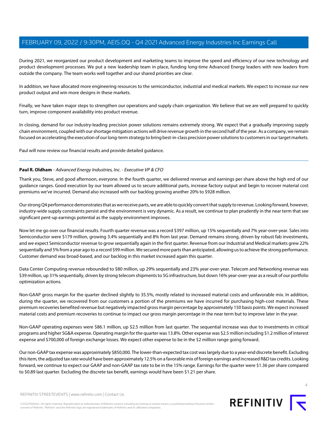During 2021, we reorganized our product development and marketing teams to improve the speed and efficiency of our new technology and product development processes. We put a new leadership team in place, funding long-time Advanced Energy leaders with new leaders from outside the company. The team works well together and our shared priorities are clear.

In addition, we have allocated more engineering resources to the semiconductor, industrial and medical markets. We expect to increase our new product output and win more designs in these markets.

Finally, we have taken major steps to strengthen our operations and supply chain organization. We believe that we are well prepared to quickly turn, improve component availability into product revenue.

In closing, demand for our industry-leading precision power solutions remains extremely strong. We expect that a gradually improving supply chain environment, coupled with our shortage mitigation actions will drive revenue growth in the second half of the year. As a company, we remain focused on accelerating the execution of our long-term strategy to bring best-in-class precision power solutions to customers in our target markets.

<span id="page-3-0"></span>Paul will now review our financial results and provide detailed guidance.

#### **Paul R. Oldham** - Advanced Energy Industries, Inc. - Executive VP & CFO

Thank you, Steve, and good afternoon, everyone. In the fourth quarter, we delivered revenue and earnings per share above the high end of our guidance ranges. Good execution by our team allowed us to secure additional parts, increase factory output and begin to recover material cost premiums we've incurred. Demand also increased with our backlog growing another 20% to \$928 million.

Our strong Q4 performance demonstrates that as we receive parts, we are able to quickly convert that supply to revenue. Looking forward, however, industry-wide supply constraints persist and the environment is very dynamic. As a result, we continue to plan prudently in the near term that see significant pent-up earnings potential as the supply environment improves.

Now let me go over our financial results. Fourth quarter revenue was a record \$397 million, up 15% sequentially and 7% year-over-year. Sales into Semiconductor were \$179 million, growing 3.4% sequentially and 8% from last year. Demand remains strong, driven by robust fab investments, and we expect Semiconductor revenue to grow sequentially again in the first quarter. Revenue from our Industrial and Medical markets grew 22% sequentially and 5% from a year ago to a record \$99 million. We secured more parts than anticipated, allowing us to achieve the strong performance. Customer demand was broad-based, and our backlog in this market increased again this quarter.

Data Center Computing revenue rebounded to \$80 million, up 29% sequentially and 23% year-over-year. Telecom and Networking revenue was \$39 million, up 31% sequentially, driven by strong telecom shipments to 5G infrastructure, but down 16% year-over-year as a result of our portfolio optimization actions.

Non-GAAP gross margin for the quarter declined slightly to 35.5%, mostly related to increased material costs and unfavorable mix. In addition, during the quarter, we recovered from our customers a portion of the premiums we have incurred for purchasing high-cost materials. These premium recoveries benefited revenue but negatively impacted gross margin percentage by approximately 150 basis points. We expect increased material costs and premium recoveries to continue to impact our gross margin percentage in the near term but to improve later in the year.

Non-GAAP operating expenses were \$86.1 million, up \$2.5 million from last quarter. The sequential increase was due to investments in critical programs and higher SG&A expense. Operating margin for the quarter was 13.8%. Other expense was \$2.5 million including \$1.2 million of interest expense and \$700,000 of foreign exchange losses. We expect other expense to be in the \$2 million range going forward.

Our non-GAAP tax expense was approximately \$850,000. The lower-than-expected tax cost was largely due to a year-end discrete benefit. Excluding this item, the adjusted tax rate would have been approximately 12.5% on a favorable mix of foreign earnings and increased R&D tax credits. Looking forward, we continue to expect our GAAP and non-GAAP tax rate to be in the 15% range. Earnings for the quarter were \$1.36 per share compared to \$0.89 last quarter. Excluding the discrete tax benefit, earnings would have been \$1.21 per share.



 $\Delta$ 

REFINITIV STREETEVENTS | [www.refinitiv.com](https://www.refinitiv.com/) | [Contact Us](https://www.refinitiv.com/en/contact-us)

©2022 Refinitiv. All rights reserved. Republication or redistribution of Refinitiv content, including by framing or similar means, is prohibited without the prior written consent of Refinitiv. 'Refinitiv' and the Refinitiv logo are registered trademarks of Refinitiv and its affiliated companies.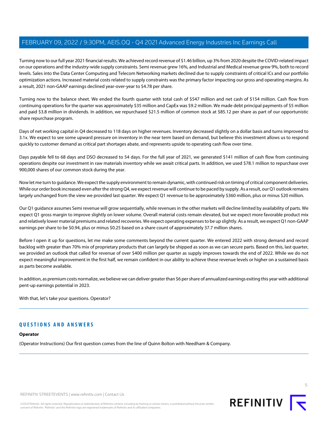Turning now to our full year 2021 financial results. We achieved record revenue of \$1.46 billion, up 3% from 2020 despite the COVID-related impact on our operations and the industry-wide supply constraints. Semi revenue grew 16%, and Industrial and Medical revenue grew 9%, both to record levels. Sales into the Data Center Computing and Telecom Networking markets declined due to supply constraints of critical ICs and our portfolio optimization actions. Increased material costs related to supply constraints was the primary factor impacting our gross and operating margins. As a result, 2021 non-GAAP earnings declined year-over-year to \$4.78 per share.

Turning now to the balance sheet. We ended the fourth quarter with total cash of \$547 million and net cash of \$154 million. Cash flow from continuing operations for the quarter was approximately \$35 million and CapEx was \$9.2 million. We made debt principal payments of \$5 million and paid \$3.8 million in dividends. In addition, we repurchased \$21.5 million of common stock at \$85.12 per share as part of our opportunistic share repurchase program.

Days of net working capital in Q4 decreased to 118 days on higher revenues. Inventory decreased slightly on a dollar basis and turns improved to 3.1x. We expect to see some upward pressure on inventory in the near term based on demand, but believe this investment allows us to respond quickly to customer demand as critical part shortages abate, and represents upside to operating cash flow over time.

Days payable fell to 68 days and DSO decreased to 54 days. For the full year of 2021, we generated \$141 million of cash flow from continuing operations despite our investment in raw materials inventory while we await critical parts. In addition, we used \$78.1 million to repurchase over 900,000 shares of our common stock during the year.

Now let me turn to guidance. We expect the supply environment to remain dynamic, with continued risk on timing of critical component deliveries. While our order book increased even after the strong Q4, we expect revenue will continue to be paced by supply. As a result, our Q1 outlook remains largely unchanged from the view we provided last quarter. We expect Q1 revenue to be approximately \$360 million, plus or minus \$20 million.

Our Q1 guidance assumes Semi revenue will grow sequentially, while revenues in the other markets will decline limited by availability of parts. We expect Q1 gross margin to improve slightly on lower volume. Overall material costs remain elevated, but we expect more favorable product mix and relatively lower material premiums and related recoveries. We expect operating expenses to be up slightly. As a result, we expect Q1 non-GAAP earnings per share to be \$0.94, plus or minus \$0.25 based on a share count of approximately 37.7 million shares.

Before I open it up for questions, let me make some comments beyond the current quarter. We entered 2022 with strong demand and record backlog with greater than 70% mix of proprietary products that can largely be shipped as soon as we can secure parts. Based on this, last quarter, we provided an outlook that called for revenue of over \$400 million per quarter as supply improves towards the end of 2022. While we do not expect meaningful improvement in the first half, we remain confident in our ability to achieve these revenue levels or higher on a sustained basis as parts become available.

In addition, as premium costs normalize, we believe we can deliver greater than \$6 per share of annualized earnings exiting this year with additional pent-up earnings potential in 2023.

With that, let's take your questions. Operator?

## **QUESTIONS AND ANSWERS**

#### **Operator**

(Operator Instructions) Our first question comes from the line of Quinn Bolton with Needham & Company.



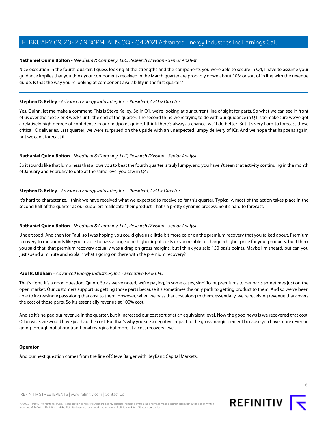#### <span id="page-5-0"></span>**Nathaniel Quinn Bolton** - Needham & Company, LLC, Research Division - Senior Analyst

Nice execution in the fourth quarter. I guess looking at the strengths and the components you were able to secure in Q4, I have to assume your guidance implies that you think your components received in the March quarter are probably down about 10% or sort of in line with the revenue guide. Is that the way you're looking at component availability in the first quarter?

#### **Stephen D. Kelley** - Advanced Energy Industries, Inc. - President, CEO & Director

Yes, Quinn, let me make a comment. This is Steve Kelley. So in Q1, we're looking at our current line of sight for parts. So what we can see in front of us over the next 7 or 8 weeks until the end of the quarter. The second thing we're trying to do with our guidance in Q1 is to make sure we've got a relatively high degree of confidence in our midpoint guide. I think there's always a chance, we'll do better. But it's very hard to forecast these critical IC deliveries. Last quarter, we were surprised on the upside with an unexpected lumpy delivery of ICs. And we hope that happens again, but we can't forecast it.

#### **Nathaniel Quinn Bolton** - Needham & Company, LLC, Research Division - Senior Analyst

So it sounds like that lumpiness that allows you to beat the fourth quarter is truly lumpy, and you haven't seen that activity continuing in the month of January and February to date at the same level you saw in Q4?

#### **Stephen D. Kelley** - Advanced Energy Industries, Inc. - President, CEO & Director

It's hard to characterize. I think we have received what we expected to receive so far this quarter. Typically, most of the action takes place in the second half of the quarter as our suppliers reallocate their product. That's a pretty dynamic process. So it's hard to forecast.

#### **Nathaniel Quinn Bolton** - Needham & Company, LLC, Research Division - Senior Analyst

Understood. And then for Paul, so I was hoping you could give us a little bit more color on the premium recovery that you talked about. Premium recovery to me sounds like you're able to pass along some higher input costs or you're able to charge a higher price for your products, but I think you said that, that premium recovery actually was a drag on gross margins, but I think you said 150 basis points. Maybe I misheard, but can you just spend a minute and explain what's going on there with the premium recovery?

#### **Paul R. Oldham** - Advanced Energy Industries, Inc. - Executive VP & CFO

That's right. It's a good question, Quinn. So as we've noted, we're paying, in some cases, significant premiums to get parts sometimes just on the open market. Our customers support us getting those parts because it's sometimes the only path to getting product to them. And so we've been able to increasingly pass along that cost to them. However, when we pass that cost along to them, essentially, we're receiving revenue that covers the cost of those parts. So it's essentially revenue at 100% cost.

And so it's helped our revenue in the quarter, but it increased our cost sort of at an equivalent level. Now the good news is we recovered that cost. Otherwise, we would have just had the cost. But that's why you see a negative impact to the gross margin percent because you have more revenue going through not at our traditional margins but more at a cost recovery level.

#### **Operator**

And our next question comes from the line of Steve Barger with KeyBanc Capital Markets.

REFINITIV STREETEVENTS | [www.refinitiv.com](https://www.refinitiv.com/) | [Contact Us](https://www.refinitiv.com/en/contact-us)

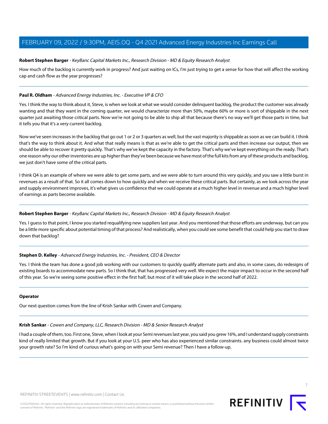#### <span id="page-6-1"></span>**Robert Stephen Barger** - KeyBanc Capital Markets Inc., Research Division - MD & Equity Research Analyst

How much of the backlog is currently work in progress? And just waiting on ICs, I'm just trying to get a sense for how that will affect the working cap and cash flow as the year progresses?

#### **Paul R. Oldham** - Advanced Energy Industries, Inc. - Executive VP & CFO

Yes. I think the way to think about it, Steve, is when we look at what we would consider delinquent backlog, the product the customer was already wanting and that they want in the coming quarter, we would characterize more than 50%, maybe 60% or more is sort of shippable in the next quarter just awaiting those critical parts. Now we're not going to be able to ship all that because there's no way we'll get those parts in time, but it tells you that it's a very current backlog.

Now we've seen increases in the backlog that go out 1 or 2 or 3 quarters as well, but the vast majority is shippable as soon as we can build it. I think that's the way to think about it. And what that really means is that as we're able to get the critical parts and then increase our output, then we should be able to recover it pretty quickly. That's why we've kept the capacity in the factory. That's why we've kept everything on the ready. That's one reason why our other inventories are up higher than they've been because we have most of the full kits from any of these products and backlog, we just don't have some of the critical parts.

I think Q4 is an example of where we were able to get some parts, and we were able to turn around this very quickly, and you saw a little burst in revenues as a result of that. So it all comes down to how quickly and when we receive these critical parts. But certainly, as we look across the year and supply environment improves, it's what gives us confidence that we could operate at a much higher level in revenue and a much higher level of earnings as parts become available.

#### **Robert Stephen Barger** - KeyBanc Capital Markets Inc., Research Division - MD & Equity Research Analyst

Yes. I guess to that point, I know you started requalifying new suppliers last year. And you mentioned that those efforts are underway, but can you be a little more specific about potential timing of that process? And realistically, when you could see some benefit that could help you start to draw down that backlog?

#### **Stephen D. Kelley** - Advanced Energy Industries, Inc. - President, CEO & Director

Yes. I think the team has done a good job working with our customers to quickly qualify alternate parts and also, in some cases, do redesigns of existing boards to accommodate new parts. So I think that, that has progressed very well. We expect the major impact to occur in the second half of this year. So we're seeing some positive effect in the first half, but most of it will take place in the second half of 2022.

#### <span id="page-6-0"></span>**Operator**

Our next question comes from the line of Krish Sankar with Cowen and Company.

#### **Krish Sankar** - Cowen and Company, LLC, Research Division - MD & Senior Research Analyst

I had a couple of them, too. First one, Steve, when I look at your Semi revenues last year, you said you grew 16%, and I understand supply constraints kind of really limited that growth. But if you look at your U.S. peer who has also experienced similar constraints. any business could almost twice your growth rate? So I'm kind of curious what's going on with your Semi revenue? Then I have a follow-up.

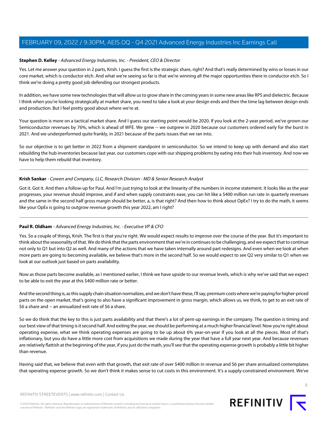#### **Stephen D. Kelley** - Advanced Energy Industries, Inc. - President, CEO & Director

Yes. Let me answer your question in 2 parts, Krish. I guess the first is the strategic share, right? And that's really determined by wins or losses in our core market, which is conductor etch. And what we're seeing so far is that we're winning all the major opportunities there in conductor etch. So I think we're doing a pretty good job defending our strongest products.

In addition, we have some new technologies that will allow us to grow share in the coming years in some new areas like RPS and dielectric. Because I think when you're looking strategically at market share, you need to take a look at your design ends and then the time lag between design ends and production. But I feel pretty good about where we're at.

Your question is more on a tactical market share. And I guess our starting point would be 2020. If you look at the 2-year period, we've grown our Semiconductor revenues by 76%, which is ahead of WFE. We grew -- we outgrew in 2020 because our customers ordered early for the burst in 2021. And we underperformed quite frankly, in 2021 because of the parts issues that we ran into.

So our objective is to get better in 2022 from a shipment standpoint in semiconductor. So we intend to keep up with demand and also start rebuilding the hub inventories because last year, our customers cope with our shipping problems by eating into their hub inventory. And now we have to help them rebuild that inventory.

#### **Krish Sankar** - Cowen and Company, LLC, Research Division - MD & Senior Research Analyst

Got it. Got it. And then a follow-up for Paul. And I'm just trying to look at the linearity of the numbers in income statement. It looks like as the year progresses, your revenue should improve, and if and when supply constraints ease, you can hit like a \$400 million run rate in quarterly revenues and the same in the second half gross margin should be better, a, is that right? And then how to think about OpEx? I try to do the math, it seems like your OpEx is going to outgrow revenue growth this year 2022, am I right?

#### **Paul R. Oldham** - Advanced Energy Industries, Inc. - Executive VP & CFO

Yes. So a couple of things, Krish. The first is that you're right. We would expect results to improve over the course of the year. But it's important to think about the seasonality of that. We do think that the parts environment that we're in continues to be challenging, and we expect that to continue not only to Q1 but into Q2 as well. And many of the actions that we have taken internally around part redesigns. And even when we look at when more parts are going to becoming available, we believe that's more in the second half. So we would expect to see Q2 very similar to Q1 when we look at our outlook just based on parts availability.

Now as those parts become available, as I mentioned earlier, I think we have upside to our revenue levels, which is why we've said that we expect to be able to exit the year at this \$400 million rate or better.

And the second thing is, as this supply chain situation normalizes, and we don't have these, I'll say, premium costs where we're paying for higher-priced parts on the open market, that's going to also have a significant improvement in gross margin, which allows us, we think, to get to an exit rate of \$6 a share and -- an annualized exit rate of \$6 a share.

So we do think that the key to this is just parts availability and that there's a lot of pent-up earnings in the company. The question is timing and our best view of that timing is it second half. And exiting the year, we should be performing at a much higher financial level. Now you're right about operating expense, what we think operating expenses are going to be up about 6% year-on-year if you look at all the pieces. Most of that's inflationary, but you do have a little more cost from acquisitions we made during the year that have a full year next year. And because revenues are relatively flattish at the beginning of the year, if you just do the math, you'll see that the operating expense growth is probably a little bit higher than revenue.

Having said that, we believe that even with that growth, that exit rate of over \$400 million in revenue and \$6 per share annualized contemplates that operating expense growth. So we don't think it makes sense to cut costs in this environment. It's a supply-constrained environment. We've

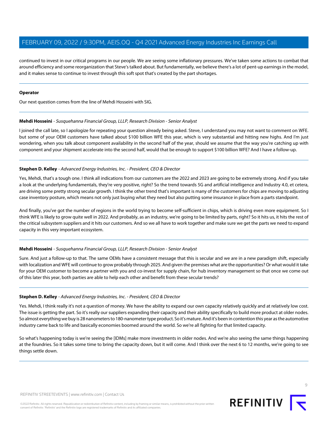continued to invest in our critical programs in our people. We are seeing some inflationary pressures. We've taken some actions to combat that around efficiency and some reorganization that Steve's talked about. But fundamentally, we believe there's a lot of pent-up earnings in the model, and it makes sense to continue to invest through this soft spot that's created by the part shortages.

#### **Operator**

<span id="page-8-0"></span>Our next question comes from the line of Mehdi Hosseini with SIG.

#### **Mehdi Hosseini** - Susquehanna Financial Group, LLLP, Research Division - Senior Analyst

I joined the call late, so I apologize for repeating your question already being asked. Steve, I understand you may not want to comment on WFE. but some of your OEM customers have talked about \$100 billion WFE this year, which is very substantial and hitting new highs. And I'm just wondering, when you talk about component availability in the second half of the year, should we assume that the way you're catching up with component and your shipment accelerate into the second half, would that be enough to support \$100 billion WFE? And I have a follow-up.

#### **Stephen D. Kelley** - Advanced Energy Industries, Inc. - President, CEO & Director

Yes, Mehdi, that's a tough one. I think all indications from our customers are the 2022 and 2023 are going to be extremely strong. And if you take a look at the underlying fundamentals, they're very positive, right? So the trend towards 5G and artificial intelligence and Industry 4.0, et cetera, are driving some pretty strong secular growth. I think the other trend that's important is many of the customers for chips are moving to adjusting case inventory posture, which means not only just buying what they need but also putting some insurance in place from a parts standpoint.

And finally, you've got the number of regions in the world trying to become self-sufficient in chips, which is driving even more equipment. So I think WFE is likely to grow quite well in 2022. And probably, as an industry, we're going to be limited by parts, right? So it hits us, it hits the rest of the critical subsystem suppliers and it hits our customers. And so we all have to work together and make sure we get the parts we need to expand capacity in this very important ecosystem.

#### **Mehdi Hosseini** - Susquehanna Financial Group, LLLP, Research Division - Senior Analyst

Sure. And just a follow-up to that. The same OEMs have a consistent message that this is secular and we are in a new paradigm shift, especially with localization and WFE will continue to grow probably through 2025. And given the premises what are the opportunities? Or what would it take for your OEM customer to become a partner with you and co-invest for supply chain, for hub inventory management so that once we come out of this later this year, both parties are able to help each other and benefit from these secular trends?

#### **Stephen D. Kelley** - Advanced Energy Industries, Inc. - President, CEO & Director

Yes. Mehdi, I think really it's not a question of money. We have the ability to expand our own capacity relatively quickly and at relatively low cost. The issue is getting the part. So it's really our suppliers expanding their capacity and their ability specifically to build more product at older nodes. So almost everything we buy is 28 nanometers to 180-nanometer type product. So it's mature. And it's been in contention this year as the automotive industry came back to life and basically economies boomed around the world. So we're all fighting for that limited capacity.

So what's happening today is we're seeing the [IDMs] make more investments in older nodes. And we're also seeing the same things happening at the foundries. So it takes some time to bring the capacity down, but it will come. And I think over the next 6 to 12 months, we're going to see things settle down.

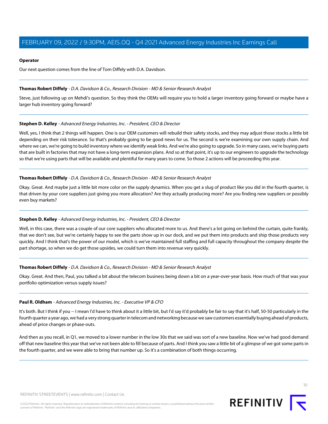#### **Operator**

Our next question comes from the line of Tom Diffely with D.A. Davidson.

#### <span id="page-9-0"></span>**Thomas Robert Diffely** - D.A. Davidson & Co., Research Division - MD & Senior Research Analyst

Steve, just following up on Mehdi's question. So they think the OEMs will require you to hold a larger inventory going forward or maybe have a larger hub inventory going forward?

### **Stephen D. Kelley** - Advanced Energy Industries, Inc. - President, CEO & Director

Well, yes, I think that 2 things will happen. One is our OEM customers will rebuild their safety stocks, and they may adjust those stocks a little bit depending on their risk tolerance. So that's probably going to be good news for us. The second is we're examining our own supply chain. And where we can, we're going to build inventory where we identify weak links. And we're also going to upgrade. So in many cases, we're buying parts that are built in factories that may not have a long-term expansion plans. And so at that point, it's up to our engineers to upgrade the technology so that we're using parts that will be available and plentiful for many years to come. So those 2 actions will be proceeding this year.

#### **Thomas Robert Diffely** - D.A. Davidson & Co., Research Division - MD & Senior Research Analyst

Okay. Great. And maybe just a little bit more color on the supply dynamics. When you get a slug of product like you did in the fourth quarter, is that driven by your core suppliers just giving you more allocation? Are they actually producing more? Are you finding new suppliers or possibly even buy markets?

## **Stephen D. Kelley** - Advanced Energy Industries, Inc. - President, CEO & Director

Well, in this case, there was a couple of our core suppliers who allocated more to us. And there's a lot going on behind the curtain, quite frankly, that we don't see, but we're certainly happy to see the parts show up in our dock, and we put them into products and ship those products very quickly. And I think that's the power of our model, which is we've maintained full staffing and full capacity throughout the company despite the part shortage, so when we do get those upsides, we could turn them into revenue very quickly.

#### **Thomas Robert Diffely** - D.A. Davidson & Co., Research Division - MD & Senior Research Analyst

Okay. Great. And then, Paul, you talked a bit about the telecom business being down a bit on a year-over-year basis. How much of that was your portfolio optimization versus supply issues?

#### **Paul R. Oldham** - Advanced Energy Industries, Inc. - Executive VP & CFO

It's both. But I think if you -- I mean I'd have to think about it a little bit, but I'd say it'd probably be fair to say that it's half, 50-50 particularly in the fourth quarter a year ago, we had a very strong quarter in telecom and networking because we saw customers essentially buying ahead of products, ahead of price changes or phase-outs.

And then as you recall, in Q1, we moved to a lower number in the low 30s that we said was sort of a new baseline. Now we've had good demand off that new baseline this year that we've not been able to fill because of parts. And I think you saw a little bit of a glimpse of we got some parts in the fourth quarter, and we were able to bring that number up. So it's a combination of both things occurring.

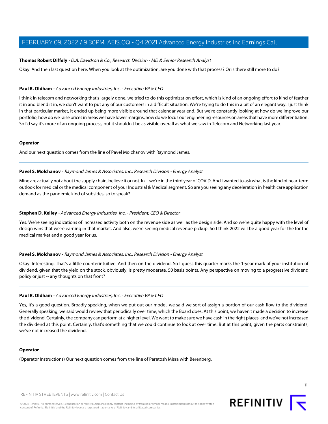#### **Thomas Robert Diffely** - D.A. Davidson & Co., Research Division - MD & Senior Research Analyst

Okay. And then last question here. When you look at the optimization, are you done with that process? Or is there still more to do?

#### **Paul R. Oldham** - Advanced Energy Industries, Inc. - Executive VP & CFO

I think in telecom and networking that's largely done, we tried to do this optimization effort, which is kind of an ongoing effort to kind of feather it in and blend it in, we don't want to put any of our customers in a difficult situation. We're trying to do this in a bit of an elegant way. I just think in that particular market, it ended up being more visible around that calendar year end. But we're constantly looking at how do we improve our portfolio, how do we raise prices in areas we have lower margins, how do we focus our engineering resources on areas that have more differentiation. So I'd say it's more of an ongoing process, but it shouldn't be as visible overall as what we saw in Telecom and Networking last year.

#### **Operator**

<span id="page-10-0"></span>And our next question comes from the line of Pavel Molchanov with Raymond James.

#### **Pavel S. Molchanov** - Raymond James & Associates, Inc., Research Division - Energy Analyst

Mine are actually not about the supply chain, believe it or not. In -- we're in the third year of COVID. And I wanted to ask what is the kind of near-term outlook for medical or the medical component of your Industrial & Medical segment. So are you seeing any deceleration in health care application demand as the pandemic kind of subsides, so to speak?

#### **Stephen D. Kelley** - Advanced Energy Industries, Inc. - President, CEO & Director

Yes. We're seeing indications of increased activity both on the revenue side as well as the design side. And so we're quite happy with the level of design wins that we're earning in that market. And also, we're seeing medical revenue pickup. So I think 2022 will be a good year for the for the medical market and a good year for us.

#### **Pavel S. Molchanov** - Raymond James & Associates, Inc., Research Division - Energy Analyst

Okay. Interesting. That's a little counterintuitive. And then on the dividend. So I guess this quarter marks the 1-year mark of your institution of dividend, given that the yield on the stock, obviously, is pretty moderate, 50 basis points. Any perspective on moving to a progressive dividend policy or just -- any thoughts on that front?

#### **Paul R. Oldham** - Advanced Energy Industries, Inc. - Executive VP & CFO

Yes, it's a good question. Broadly speaking, when we put out our model, we said we sort of assign a portion of our cash flow to the dividend. Generally speaking, we said would review that periodically over time, which the Board does. At this point, we haven't made a decision to increase the dividend. Certainly, the company can perform at a higher level. We want to make sure we have cash in the right places, and we've not increased the dividend at this point. Certainly, that's something that we could continue to look at over time. But at this point, given the parts constraints, we've not increased the dividend.

#### **Operator**

(Operator Instructions) Our next question comes from the line of Paretosh Misra with Berenberg.

REFINITIV STREETEVENTS | [www.refinitiv.com](https://www.refinitiv.com/) | [Contact Us](https://www.refinitiv.com/en/contact-us)

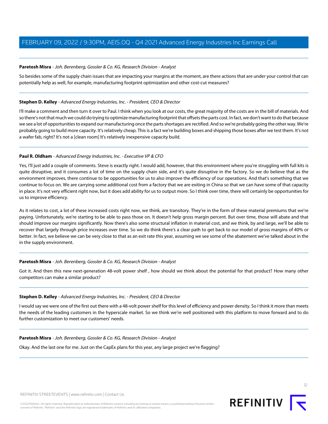#### <span id="page-11-0"></span>**Paretosh Misra** - Joh. Berenberg, Gossler & Co. KG, Research Division - Analyst

So besides some of the supply chain issues that are impacting your margins at the moment, are there actions that are under your control that can potentially help as well, for example, manufacturing footprint optimization and other cost-cut measures?

#### **Stephen D. Kelley** - Advanced Energy Industries, Inc. - President, CEO & Director

I'll make a comment and then turn it over to Paul. I think when you look at our costs, the great majority of the costs are in the bill of materials. And so there's not that much we could do trying to optimize manufacturing footprint that offsets the parts cost. In fact, we don't want to do that because we see a lot of opportunities to expand our manufacturing once the parts shortages are rectified. And so we're probably going the other way. We're probably going to build more capacity. It's relatively cheap. This is a fact we're building boxes and shipping those boxes after we test them. It's not a wafer fab, right? It's not a [clean room] It's relatively inexpensive capacity build.

#### **Paul R. Oldham** - Advanced Energy Industries, Inc. - Executive VP & CFO

Yes, I'll just add a couple of comments. Steve is exactly right. I would add, however, that this environment where you're struggling with full kits is quite disruptive, and it consumes a lot of time on the supply chain side, and it's quite disruptive in the factory. So we do believe that as the environment improves, there continue to be opportunities for us to also improve the efficiency of our operations. And that's something that we continue to focus on. We are carrying some additional cost from a factory that we are exiting in China so that we can have some of that capacity in place. It's not very efficient right now, but it does add ability for us to output more. So I think over time, there will certainly be opportunities for us to improve efficiency.

As it relates to cost, a lot of these increased costs right now, we think, are transitory. They're in the form of these material premiums that we're paying. Unfortunately, we're starting to be able to pass those on. It doesn't help gross margin percent. But over time, those will abate and that should improve our margins significantly. Now there's also some structural inflation in material cost, and we think, by and large, we'll be able to recover that largely through price increases over time. So we do think there's a clear path to get back to our model of gross margins of 40% or better. In fact, we believe we can be very close to that as an exit rate this year, assuming we see some of the abatement we've talked about in the in the supply environment.

#### **Paretosh Misra** - Joh. Berenberg, Gossler & Co. KG, Research Division - Analyst

Got it. And then this new next-generation 48-volt power shelf , how should we think about the potential for that product? How many other competitors can make a similar product?

#### **Stephen D. Kelley** - Advanced Energy Industries, Inc. - President, CEO & Director

I would say we were one of the first out there with a 48-volt power shelf for this level of efficiency and power density. So I think it more than meets the needs of the leading customers in the hyperscale market. So we think we're well positioned with this platform to move forward and to do further customization to meet our customers' needs.

#### **Paretosh Misra** - Joh. Berenberg, Gossler & Co. KG, Research Division - Analyst

Okay. And the last one for me. Just on the CapEx plans for this year, any large project we're flagging?



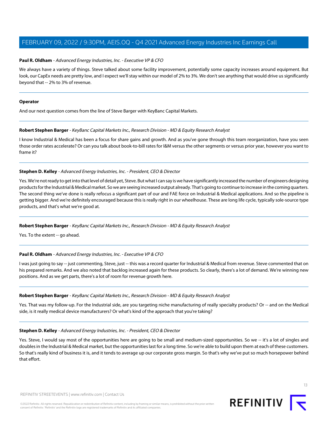#### **Paul R. Oldham** - Advanced Energy Industries, Inc. - Executive VP & CFO

We always have a variety of things. Steve talked about some facility improvement, potentially some capacity increases around equipment. But look, our CapEx needs are pretty low, and I expect we'll stay within our model of 2% to 3%. We don't see anything that would drive us significantly beyond that -- 2% to 3% of revenue.

#### **Operator**

And our next question comes from the line of Steve Barger with KeyBanc Capital Markets.

#### **Robert Stephen Barger** - KeyBanc Capital Markets Inc., Research Division - MD & Equity Research Analyst

I know Industrial & Medical has been a focus for share gains and growth. And as you've gone through this team reorganization, have you seen those order rates accelerate? Or can you talk about book-to-bill rates for I&M versus the other segments or versus prior year, however you want to frame it?

#### **Stephen D. Kelley** - Advanced Energy Industries, Inc. - President, CEO & Director

Yes. We're not ready to get into that level of detail yet, Steve. But what I can say is we have significantly increased the number of engineers designing products for the Industrial & Medical market. So we are seeing increased output already. That's going to continue to increase in the coming quarters. The second thing we've done is really refocus a significant part of our and FAE force on Industrial & Medical applications. And so the pipeline is getting bigger. And we're definitely encouraged because this is really right in our wheelhouse. These are long life cycle, typically sole-source type products, and that's what we're good at.

#### **Robert Stephen Barger** - KeyBanc Capital Markets Inc., Research Division - MD & Equity Research Analyst

Yes. To the extent -- go ahead.

#### **Paul R. Oldham** - Advanced Energy Industries, Inc. - Executive VP & CFO

I was just going to say -- just commenting, Steve, just -- this was a record quarter for Industrial & Medical from revenue. Steve commented that on his prepared remarks. And we also noted that backlog increased again for these products. So clearly, there's a lot of demand. We're winning new positions. And as we get parts, there's a lot of room for revenue growth here.

#### **Robert Stephen Barger** - KeyBanc Capital Markets Inc., Research Division - MD & Equity Research Analyst

Yes. That was my follow-up. For the Industrial side, are you targeting niche manufacturing of really specialty products? Or -- and on the Medical side, is it really medical device manufacturers? Or what's kind of the approach that you're taking?

#### **Stephen D. Kelley** - Advanced Energy Industries, Inc. - President, CEO & Director

Yes. Steve, I would say most of the opportunities here are going to be small and medium-sized opportunities. So we -- it's a lot of singles and doubles in the Industrial & Medical market, but the opportunities last for a long time. So we're able to build upon them at each of these customers. So that's really kind of business it is, and it tends to average up our corporate gross margin. So that's why we've put so much horsepower behind that effort.